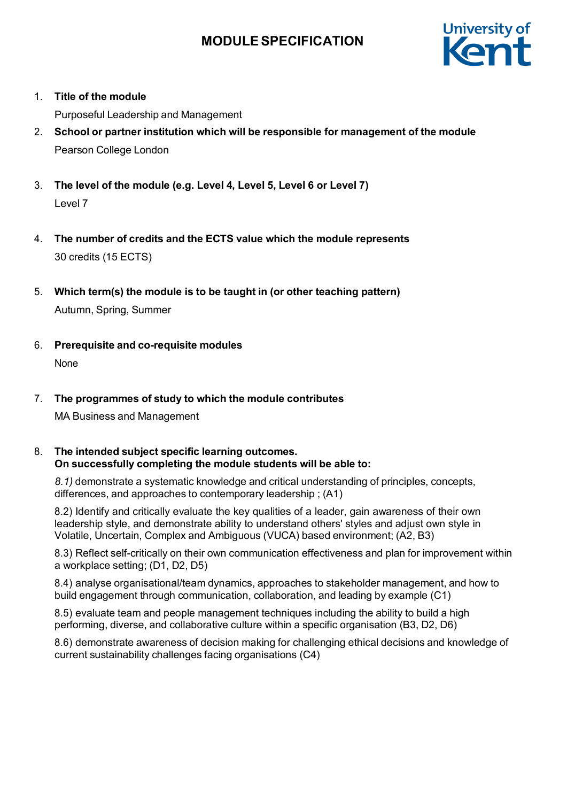

1. **Title of the module**

Purposeful Leadership and Management

- 2. **School or partner institution which will be responsible for management of the module** Pearson College London
- 3. **The level of the module (e.g. Level 4, Level 5, Level 6 or Level 7)** Level 7
- 4. **The number of credits and the ECTS value which the module represents** 30 credits (15 ECTS)
- 5. **Which term(s) the module is to be taught in (or other teaching pattern)** Autumn, Spring, Summer
- 6. **Prerequisite and co-requisite modules** None

# 7. **The programmes of study to which the module contributes**

MA Business and Management

#### 8. **The intended subject specific learning outcomes. On successfully completing the module students will be able to:**

*8.1)* demonstrate a systematic knowledge and critical understanding of principles, concepts, differences, and approaches to contemporary leadership ; (A1)

8.2) Identify and critically evaluate the key qualities of a leader, gain awareness of their own leadership style, and demonstrate ability to understand others' styles and adjust own style in Volatile, Uncertain, Complex and Ambiguous (VUCA) based environment; (A2, B3)

8.3) Reflect self-critically on their own communication effectiveness and plan for improvement within a workplace setting; (D1, D2, D5)

8.4) analyse organisational/team dynamics, approaches to stakeholder management, and how to build engagement through communication, collaboration, and leading by example (C1)

8.5) evaluate team and people management techniques including the ability to build a high performing, diverse, and collaborative culture within a specific organisation (B3, D2, D6)

8.6) demonstrate awareness of decision making for challenging ethical decisions and knowledge of current sustainability challenges facing organisations (C4)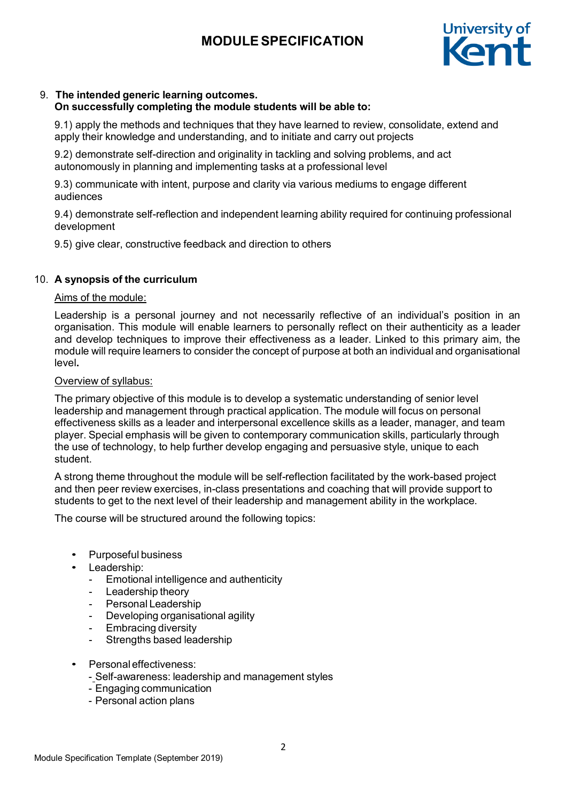

# 9. **The intended generic learning outcomes.**

## **On successfully completing the module students will be able to:**

9.1) apply the methods and techniques that they have learned to review, consolidate, extend and apply their knowledge and understanding, and to initiate and carry out projects

9.2) demonstrate self-direction and originality in tackling and solving problems, and act autonomously in planning and implementing tasks at a professional level

9.3) communicate with intent, purpose and clarity via various mediums to engage different audiences

9.4) demonstrate self-reflection and independent learning ability required for continuing professional development

9.5) give clear, constructive feedback and direction to others

## 10. **A synopsis of the curriculum**

### Aims of the module:

Leadership is a personal journey and not necessarily reflective of an individual's position in an organisation. This module will enable learners to personally reflect on their authenticity as a leader and develop techniques to improve their effectiveness as a leader. Linked to this primary aim, the module will require learners to consider the concept of purpose at both an individual and organisational level**.**

#### Overview of syllabus:

The primary objective of this module is to develop a systematic understanding of senior level leadership and management through practical application. The module will focus on personal effectiveness skills as a leader and interpersonal excellence skills as a leader, manager, and team player. Special emphasis will be given to contemporary communication skills, particularly through the use of technology, to help further develop engaging and persuasive style, unique to each student.

A strong theme throughout the module will be self-reflection facilitated by the work-based project and then peer review exercises, in-class presentations and coaching that will provide support to students to get to the next level of their leadership and management ability in the workplace.

The course will be structured around the following topics:

- Purposeful business
- Leadership:
	- Emotional intelligence and authenticity
	- Leadership theory
	- Personal Leadership
	- Developing organisational agility
	- Embracing diversity
	- Strengths based leadership
- Personal effectiveness:
	- Self-awareness: leadership and management styles
	- Engaging communication
	- Personal action plans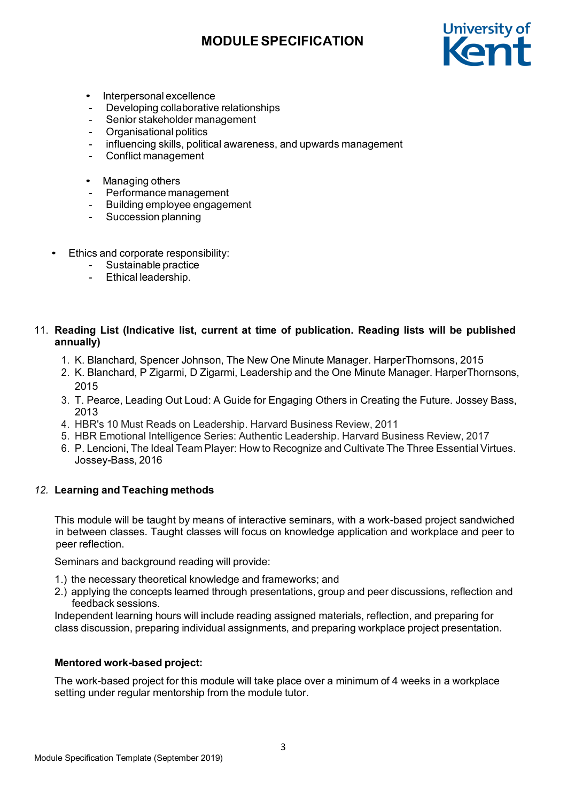

- Interpersonal excellence
- Developing collaborative relationships
- Senior stakeholder management
- Organisational politics
- influencing skills, political awareness, and upwards management
- Conflict management
- Managing others
- Performance management
- Building employee engagement
- Succession planning
- Ethics and corporate responsibility:
	- Sustainable practice
	- Ethical leadership.

### 11. **Reading List (Indicative list, current at time of publication. Reading lists will be published annually)**

- 1. K. [Blanchard,](https://www.amazon.co.uk/s/ref%3Ddp_byline_sr_book_1?ie=UTF8&text=Kenneth%2BBlanchard&search-alias=books-uk&field-author=Kenneth%2BBlanchard&sort=relevancerank) Spencer [Johnson,](https://www.amazon.co.uk/s/ref%3Ddp_byline_sr_book_2?ie=UTF8&text=Spencer%2BJohnson&search-alias=books-uk&field-author=Spencer%2BJohnson&sort=relevancerank) The New One Minute Manager. HarperThornsons, 2015
- 2. K. [Blanchard,](https://www.amazon.co.uk/s/ref%3Ddp_byline_sr_book_1?ie=UTF8&text=Kenneth%2BBlanchard&search-alias=books-uk&field-author=Kenneth%2BBlanchard&sort=relevancerank) P [Zigarmi,](https://www.amazon.co.uk/Patricia-Zigarmi/e/B001KE7SFK/ref%3Ddp_byline_cont_book_2) D [Zigarmi,](https://www.amazon.co.uk/Drea-Zigarmi/e/B001IOF9W6/ref%3Ddp_byline_cont_book_3) Leadership and the One Minute Manager. HarperThornsons, 2015
- 3. T. Pearce, Leading Out Loud: A Guide for Engaging Others in Creating the Future. Jossey Bass, 2013
- 4. HBR's 10 Must Reads on Leadership. Harvard Business Review, 2011
- 5. HBR Emotional Intelligence Series: Authentic Leadership. Harvard Business Review, 2017
- 6. P. Lencioni, The Ideal Team Player: How to Recognize and Cultivate The Three Essential Virtues. Jossey-Bass, 2016

### *12.* **Learning and Teaching methods**

This module will be taught by means of interactive seminars, with a work-based project sandwiched in between classes. Taught classes will focus on knowledge application and workplace and peer to peer reflection.

Seminars and background reading will provide:

- 1.) the necessary theoretical knowledge and frameworks; and
- 2.) applying the concepts learned through presentations, group and peer discussions, reflection and feedback sessions.

Independent learning hours will include reading assigned materials, reflection, and preparing for class discussion, preparing individual assignments, and preparing workplace project presentation.

### **Mentored work-based project:**

The work-based project for this module will take place over a minimum of 4 weeks in a workplace setting under regular mentorship from the module tutor.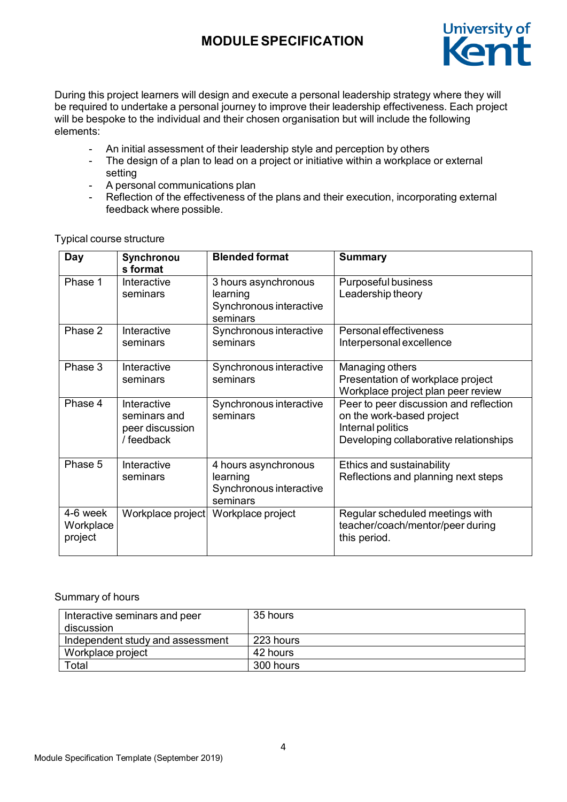

During this project learners will design and execute a personal leadership strategy where they will be required to undertake a personal journey to improve their leadership effectiveness. Each project will be bespoke to the individual and their chosen organisation but will include the following elements:

- An initial assessment of their leadership style and perception by others
- The design of a plan to lead on a project or initiative within a workplace or external setting
- A personal communications plan<br>Reflection of the effectiveness of
- Reflection of the effectiveness of the plans and their execution, incorporating external feedback where possible.

| Day                              | Synchronou<br>s format                                       | <b>Blended format</b>                                                   | <b>Summary</b>                                                                                                                     |
|----------------------------------|--------------------------------------------------------------|-------------------------------------------------------------------------|------------------------------------------------------------------------------------------------------------------------------------|
| Phase 1                          | Interactive<br>seminars                                      | 3 hours asynchronous<br>learning<br>Synchronous interactive<br>seminars | Purposeful business<br>Leadership theory                                                                                           |
| Phase 2                          | Interactive<br>seminars                                      | Synchronous interactive<br>seminars                                     | Personal effectiveness<br>Interpersonal excellence                                                                                 |
| Phase 3                          | Interactive<br>seminars                                      | Synchronous interactive<br>seminars                                     | Managing others<br>Presentation of workplace project<br>Workplace project plan peer review                                         |
| Phase 4                          | Interactive<br>seminars and<br>peer discussion<br>/ feedback | Synchronous interactive<br>seminars                                     | Peer to peer discussion and reflection<br>on the work-based project<br>Internal politics<br>Developing collaborative relationships |
| Phase 5                          | Interactive<br>seminars                                      | 4 hours asynchronous<br>learning<br>Synchronous interactive<br>seminars | Ethics and sustainability<br>Reflections and planning next steps                                                                   |
| 4-6 week<br>Workplace<br>project | Workplace project                                            | Workplace project                                                       | Regular scheduled meetings with<br>teacher/coach/mentor/peer during<br>this period.                                                |

Typical course structure

### Summary of hours

| Interactive seminars and peer<br>discussion | 35 hours  |
|---------------------------------------------|-----------|
| Independent study and assessment            | 223 hours |
| Workplace project                           | 42 hours  |
| $\tau$ otal                                 | 300 hours |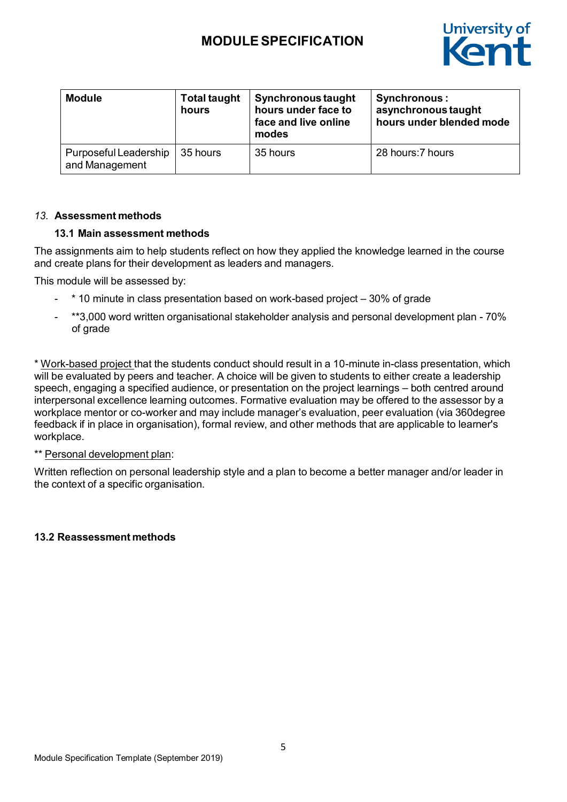

| <b>Module</b>                           | <b>Total taught</b><br>hours | <b>Synchronous taught</b><br>hours under face to<br>face and live online<br>modes | <b>Synchronous:</b><br>asynchronous taught<br>hours under blended mode |
|-----------------------------------------|------------------------------|-----------------------------------------------------------------------------------|------------------------------------------------------------------------|
| Purposeful Leadership<br>and Management | 35 hours                     | 35 hours                                                                          | 28 hours: 7 hours                                                      |

#### *13.* **Assessment methods**

#### **13.1 Main assessment methods**

The assignments aim to help students reflect on how they applied the knowledge learned in the course and create plans for their development as leaders and managers.

This module will be assessed by:

- $*$  10 minute in class presentation based on work-based project  $-30\%$  of grade
- \*\*3,000 word written organisational stakeholder analysis and personal development plan 70% of grade

\* Work-based project that the students conduct should result in a 10-minute in-class presentation, which will be evaluated by peers and teacher. A choice will be given to students to either create a leadership speech, engaging a specified audience, or presentation on the project learnings – both centred around interpersonal excellence learning outcomes. Formative evaluation may be offered to the assessor by a workplace mentor or co-worker and may include manager's evaluation, peer evaluation (via 360degree feedback if in place in organisation), formal review, and other methods that are applicable to learner's workplace.

### \*\* Personal development plan:

Written reflection on personal leadership style and a plan to become a better manager and/or leader in the context of a specific organisation.

### **13.2 Reassessment methods**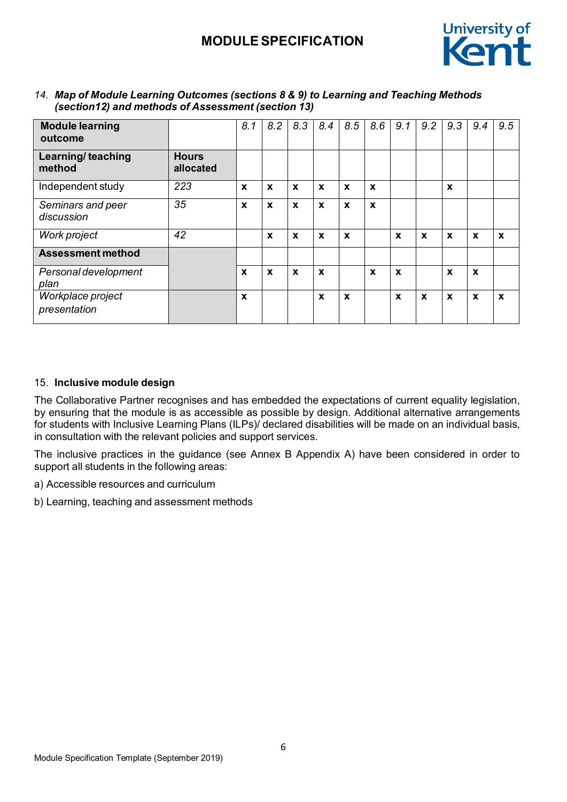

| <b>Module learning</b><br>outcome |                           | 8.1 | 8.2              | 8,3              | 8.4              | 8.5 | 8.6              | 9.1 | 9.2 | 9.3              | 9.4              | 9.5              |
|-----------------------------------|---------------------------|-----|------------------|------------------|------------------|-----|------------------|-----|-----|------------------|------------------|------------------|
| Learning/teaching<br>method       | <b>Hours</b><br>allocated |     |                  |                  |                  |     |                  |     |     |                  |                  |                  |
| Independent study                 | 223                       | X   | X                | $\mathbf x$      | X                | X   | X                |     |     | X                |                  |                  |
| Seminars and peer<br>discussion   | 35                        | X   | $\boldsymbol{x}$ | $\boldsymbol{x}$ | $\boldsymbol{x}$ | X   | $\boldsymbol{x}$ |     |     |                  |                  |                  |
| Work project                      | 42                        |     | $\boldsymbol{x}$ | $\boldsymbol{x}$ | $\boldsymbol{x}$ | X   |                  | X   | X   | $\boldsymbol{x}$ | $\boldsymbol{x}$ | $\boldsymbol{x}$ |
| <b>Assessment method</b>          |                           |     |                  |                  |                  |     |                  |     |     |                  |                  |                  |
| Personal development<br>plan      |                           | X   | $\boldsymbol{x}$ | $\boldsymbol{x}$ | $\boldsymbol{x}$ |     | $\boldsymbol{x}$ | X   |     | $\boldsymbol{x}$ | $\boldsymbol{x}$ |                  |
| Workplace project<br>presentation |                           | X   |                  |                  | $\boldsymbol{x}$ | X   |                  | X   | X   | $\mathbf x$      | $\boldsymbol{x}$ | $\boldsymbol{x}$ |

*14. Map of Module Learning Outcomes (sections 8 & 9) to Learning and Teaching Methods (section12) and methods of Assessment (section 13)*

### 15. **Inclusive module design**

The Collaborative Partner recognises and has embedded the expectations of current equality legislation, by ensuring that the module is as accessible as possible by design. Additional alternative arrangements for students with Inclusive Learning Plans (ILPs)/ declared disabilities will be made on an individual basis, in consultation with the relevant policies and support services.

The inclusive practices in the guidance (see Annex B Appendix A) have been considered in order to support all students in the following areas:

a) Accessible resources and curriculum

b) Learning, teaching and assessment methods